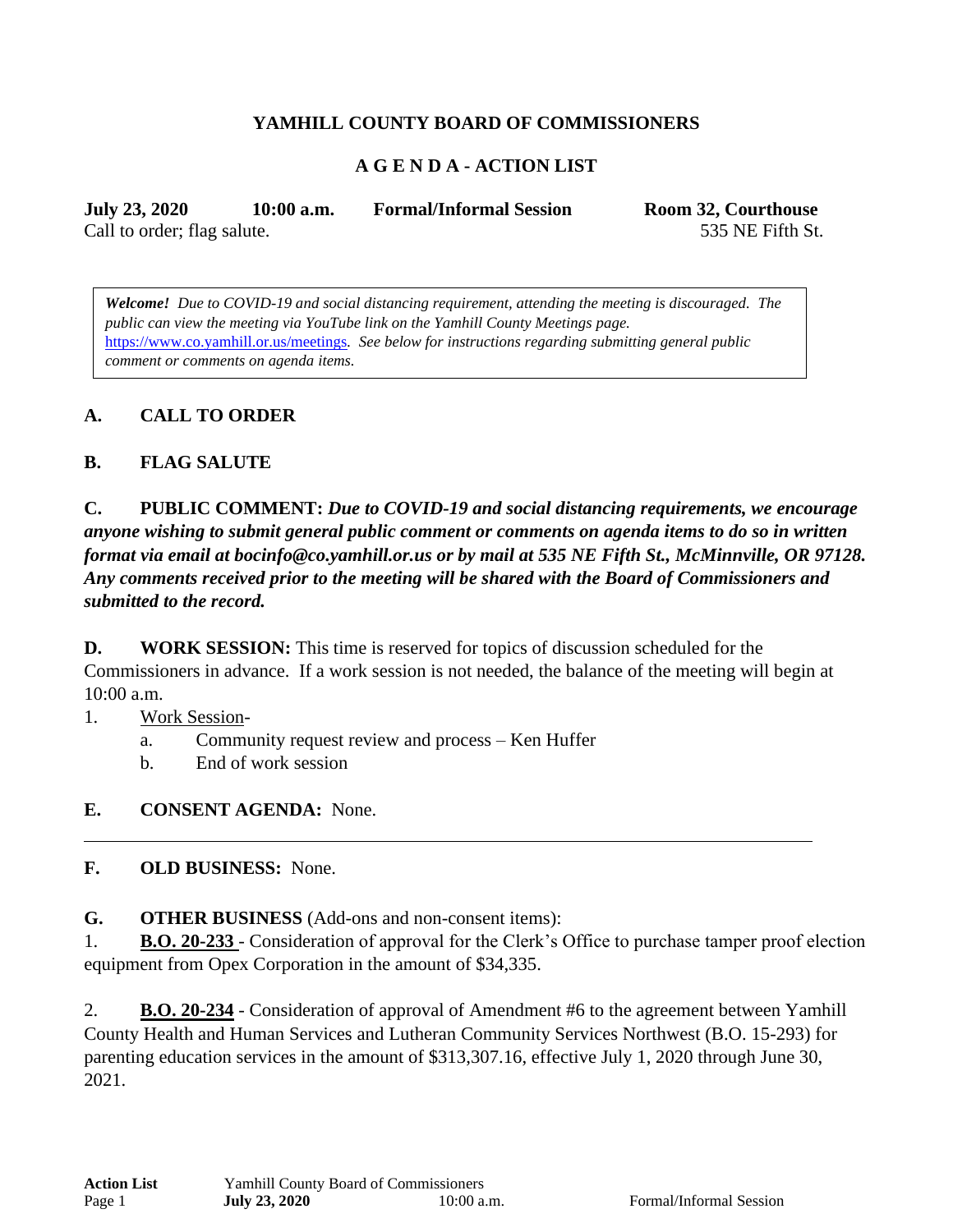## **YAMHILL COUNTY BOARD OF COMMISSIONERS**

### **A G E N D A - ACTION LIST**

**July 23, 2020 10:00 a.m. Formal/Informal Session Room 32, Courthouse** Call to order; flag salute. 535 NE Fifth St.

*Welcome! Due to COVID-19 and social distancing requirement, attending the meeting is discouraged. The public can view the meeting via YouTube link on the Yamhill County Meetings page.* <https://www.co.yamhill.or.us/meetings>*. See below for instructions regarding submitting general public comment or comments on agenda items.* 

### **A. CALL TO ORDER**

#### **B. FLAG SALUTE**

**C. PUBLIC COMMENT:** *Due to COVID-19 and social distancing requirements, we encourage anyone wishing to submit general public comment or comments on agenda items to do so in written format via email at bocinfo@co.yamhill.or.us or by mail at 535 NE Fifth St., McMinnville, OR 97128. Any comments received prior to the meeting will be shared with the Board of Commissioners and submitted to the record.*

**D. WORK SESSION:** This time is reserved for topics of discussion scheduled for the Commissioners in advance. If a work session is not needed, the balance of the meeting will begin at 10:00 a.m.

- 1. Work Session
	- a. Community request review and process Ken Huffer
	- b. End of work session
- **E. CONSENT AGENDA:** None.

**F. OLD BUSINESS:** None.

**G. OTHER BUSINESS** (Add-ons and non-consent items):

1. **B.O. 20-233** - Consideration of approval for the Clerk's Office to purchase tamper proof election equipment from Opex Corporation in the amount of \$34,335.

2. **B.O. 20-234** - Consideration of approval of Amendment #6 to the agreement between Yamhill County Health and Human Services and Lutheran Community Services Northwest (B.O. 15-293) for parenting education services in the amount of \$313,307.16, effective July 1, 2020 through June 30, 2021.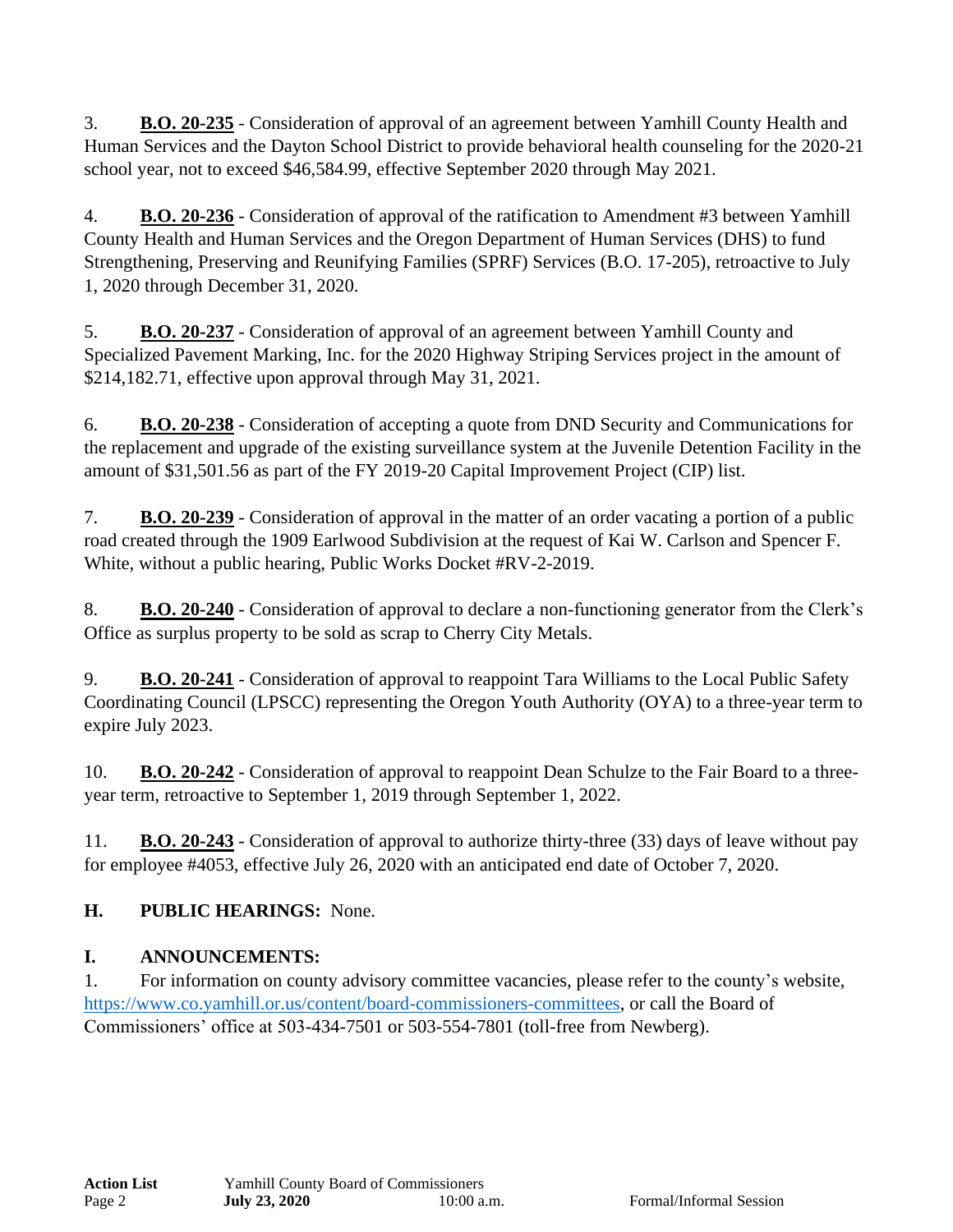3. **B.O. 20-235** - Consideration of approval of an agreement between Yamhill County Health and Human Services and the Dayton School District to provide behavioral health counseling for the 2020-21 school year, not to exceed \$46,584.99, effective September 2020 through May 2021.

4. **B.O. 20-236** - Consideration of approval of the ratification to Amendment #3 between Yamhill County Health and Human Services and the Oregon Department of Human Services (DHS) to fund Strengthening, Preserving and Reunifying Families (SPRF) Services (B.O. 17-205), retroactive to July 1, 2020 through December 31, 2020.

5. **B.O. 20-237** - Consideration of approval of an agreement between Yamhill County and Specialized Pavement Marking, Inc. for the 2020 Highway Striping Services project in the amount of \$214,182.71, effective upon approval through May 31, 2021.

6. **B.O. 20-238** - Consideration of accepting a quote from DND Security and Communications for the replacement and upgrade of the existing surveillance system at the Juvenile Detention Facility in the amount of \$31,501.56 as part of the FY 2019-20 Capital Improvement Project (CIP) list.

7. **B.O. 20-239** - Consideration of approval in the matter of an order vacating a portion of a public road created through the 1909 Earlwood Subdivision at the request of Kai W. Carlson and Spencer F. White, without a public hearing, Public Works Docket #RV-2-2019.

8. **B.O. 20-240** - Consideration of approval to declare a non-functioning generator from the Clerk's Office as surplus property to be sold as scrap to Cherry City Metals.

9. **B.O. 20-241** - Consideration of approval to reappoint Tara Williams to the Local Public Safety Coordinating Council (LPSCC) representing the Oregon Youth Authority (OYA) to a three-year term to expire July 2023.

10. **B.O. 20-242** - Consideration of approval to reappoint Dean Schulze to the Fair Board to a threeyear term, retroactive to September 1, 2019 through September 1, 2022.

11. **B.O. 20-243** - Consideration of approval to authorize thirty-three (33) days of leave without pay for employee #4053, effective July 26, 2020 with an anticipated end date of October 7, 2020.

# **H. PUBLIC HEARINGS:** None.

# **I. ANNOUNCEMENTS:**

1. For information on county advisory committee vacancies, please refer to the county's website, [https://www.co.yamhill.or.us/content/board-commissioners-committees,](https://www.co.yamhill.or.us/content/board-commissioners-committees) or call the Board of Commissioners' office at 503-434-7501 or 503-554-7801 (toll-free from Newberg).